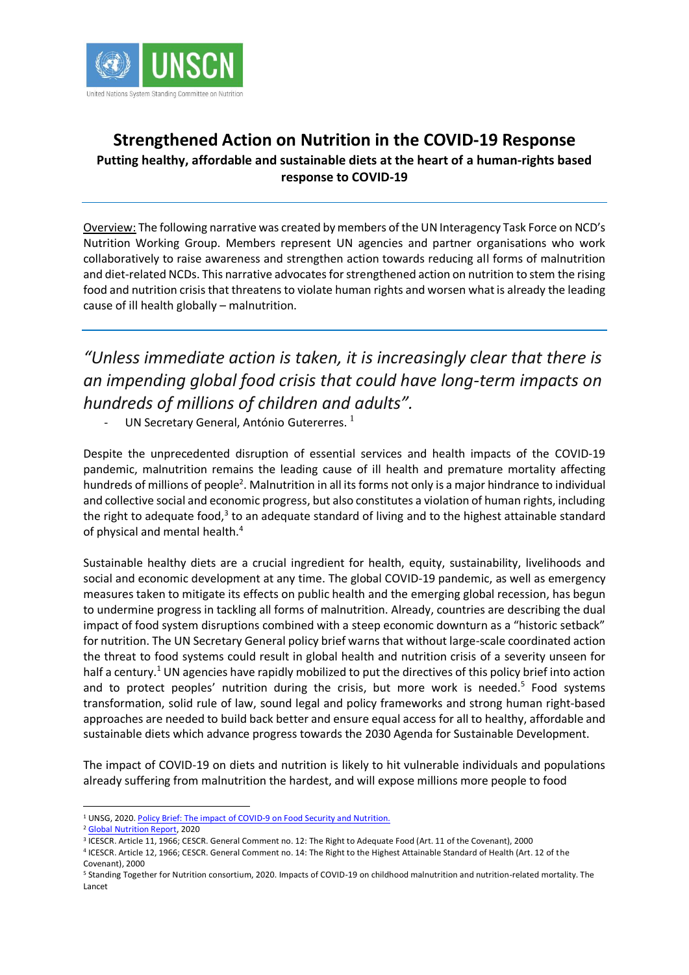

## **Strengthened Action on Nutrition in the COVID-19 Response Putting healthy, affordable and sustainable diets at the heart of a human-rights based response to COVID-19**

Overview: The following narrative was created by members of the UN Interagency Task Force on NCD's Nutrition Working Group. Members represent UN agencies and partner organisations who work collaboratively to raise awareness and strengthen action towards reducing all forms of malnutrition and diet-related NCDs. This narrative advocates for strengthened action on nutrition to stem the rising food and nutrition crisis that threatens to violate human rights and worsen what is already the leading cause of ill health globally – malnutrition.

*"Unless immediate action is taken, it is increasingly clear that there is an impending global food crisis that could have long-term impacts on hundreds of millions of children and adults".*

- UN Secretary General, António Gutererres. $<sup>1</sup>$ </sup>

Despite the unprecedented disruption of essential services and health impacts of the COVID-19 pandemic, malnutrition remains the leading cause of ill health and premature mortality affecting hundreds of millions of people<sup>2</sup>. Malnutrition in all its forms not only is a major hindrance to individual and collective social and economic progress, but also constitutes a violation of human rights, including the right to adequate food,<sup>3</sup> to an adequate standard of living and to the highest attainable standard of physical and mental health.<sup>4</sup>

Sustainable healthy diets are a crucial ingredient for health, equity, sustainability, livelihoods and social and economic development at any time. The global COVID-19 pandemic, as well as emergency measures taken to mitigate its effects on public health and the emerging global recession, has begun to undermine progress in tackling all forms of malnutrition. Already, countries are describing the dual impact of food system disruptions combined with a steep economic downturn as a "historic setback" for nutrition. The UN Secretary General policy brief warns that without large-scale coordinated action the threat to food systems could result in global health and nutrition crisis of a severity unseen for half a century.<sup>1</sup> UN agencies have rapidly mobilized to put the directives of this policy brief into action and to protect peoples' nutrition during the crisis, but more work is needed.<sup>5</sup> Food systems transformation, solid rule of law, sound legal and policy frameworks and strong human right-based approaches are needed to build back better and ensure equal access for all to healthy, affordable and sustainable diets which advance progress towards the 2030 Agenda for Sustainable Development.

The impact of COVID-19 on diets and nutrition is likely to hit vulnerable individuals and populations already suffering from malnutrition the hardest, and will expose millions more people to food

<sup>1</sup> UNSG, 2020[. Policy Brief: The impact of COVID-9 on Food Security and Nutrition.](https://www.un.org/sites/un2.un.org/files/sg_policy_brief_on_covid_impact_on_food_security.pdf)

<sup>2</sup> [Global Nutrition Report,](https://globalnutritionreport.org/reports/2020-global-nutrition-report/) 2020

<sup>3</sup> ICESCR. Article 11, 1966; CESCR. General Comment no. 12: The Right to Adequate Food (Art. 11 of the Covenant), 2000

<sup>4</sup> ICESCR. Article 12, 1966; CESCR. General Comment no. 14: The Right to the Highest Attainable Standard of Health (Art. 12 of the Covenant), 2000

<sup>5</sup> Standing Together for Nutrition consortium, 2020. Impacts of COVID-19 on childhood malnutrition and nutrition-related mortality. The Lancet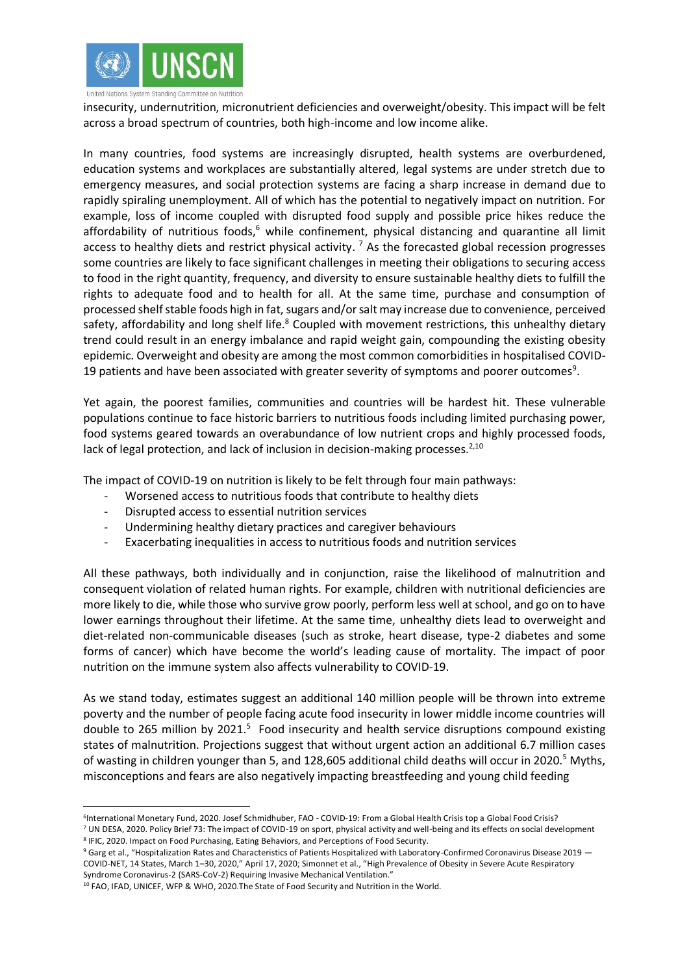

insecurity, undernutrition, micronutrient deficiencies and overweight/obesity. This impact will be felt across a broad spectrum of countries, both high-income and low income alike.

In many countries, food systems are increasingly disrupted, health systems are overburdened, education systems and workplaces are substantially altered, legal systems are under stretch due to emergency measures, and social protection systems are facing a sharp increase in demand due to rapidly spiraling unemployment. All of which has the potential to negatively impact on nutrition. For example, loss of income coupled with disrupted food supply and possible price hikes reduce the affordability of nutritious foods, $6$  while confinement, physical distancing and quarantine all limit access to healthy diets and restrict physical activity.  $^7$  As the forecasted global recession progresses some countries are likely to face significant challenges in meeting their obligations to securing access to food in the right quantity, frequency, and diversity to ensure sustainable healthy diets to fulfill the rights to adequate food and to health for all. At the same time, purchase and consumption of processed shelf stable foods high in fat, sugars and/or salt may increase due to convenience, perceived safety, affordability and long shelf life.<sup>8</sup> Coupled with movement restrictions, this unhealthy dietary trend could result in an energy imbalance and rapid weight gain, compounding the existing obesity epidemic. Overweight and obesity are among the most common comorbidities in hospitalised COVID-19 patients and have been associated with greater severity of symptoms and poorer outcomes<sup>9</sup>.

Yet again, the poorest families, communities and countries will be hardest hit. These vulnerable populations continue to face historic barriers to nutritious foods including limited purchasing power, food systems geared towards an overabundance of low nutrient crops and highly processed foods, lack of legal protection, and lack of inclusion in decision-making processes. $2,10$ 

The impact of COVID-19 on nutrition is likely to be felt through four main pathways:

- Worsened access to nutritious foods that contribute to healthy diets
- Disrupted access to essential nutrition services
- Undermining healthy dietary practices and caregiver behaviours
- Exacerbating inequalities in access to nutritious foods and nutrition services

All these pathways, both individually and in conjunction, raise the likelihood of malnutrition and consequent violation of related human rights. For example, children with nutritional deficiencies are more likely to die, while those who survive grow poorly, perform less well at school, and go on to have lower earnings throughout their lifetime. At the same time, unhealthy diets lead to overweight and diet-related non-communicable diseases (such as stroke, heart disease, type-2 diabetes and some forms of cancer) which have become the world's leading cause of mortality. The impact of poor nutrition on the immune system also affects vulnerability to COVID-19.

As we stand today, estimates suggest an additional 140 million people will be thrown into extreme poverty and the number of people facing acute food insecurity in lower middle income countries will double to 265 million by 2021.<sup>5</sup> Food insecurity and health service disruptions compound existing states of malnutrition. Projections suggest that without urgent action an additional 6.7 million cases of wasting in children younger than 5, and 128,605 additional child deaths will occur in 2020.<sup>5</sup> Myths, misconceptions and fears are also negatively impacting breastfeeding and young child feeding

<sup>6</sup> International Monetary Fund, 2020. Josef Schmidhuber, FAO - COVID-19: From a Global Health Crisis top a Global Food Crisis? <sup>7</sup> UN DESA, 2020. Policy Brief 73: The impact of COVID-19 on sport, physical activity and well-being and its effects on social development <sup>8</sup> IFIC, 2020. Impact on Food Purchasing, Eating Behaviors, and Perceptions of Food Security.

 $9$  Garg et al., "Hospitalization Rates and Characteristics of Patients Hospitalized with Laboratory-Confirmed Coronavirus Disease 2019 — COVID-NET, 14 States, March 1–30, 2020," April 17, 2020; Simonnet et al., "High Prevalence of Obesity in Severe Acute Respiratory Syndrome Coronavirus-2 (SARS-CoV-2) Requiring Invasive Mechanical Ventilation."

<sup>&</sup>lt;sup>10</sup> FAO, IFAD, UNICEF, WFP & WHO, 2020. The State of Food Security and Nutrition in the World.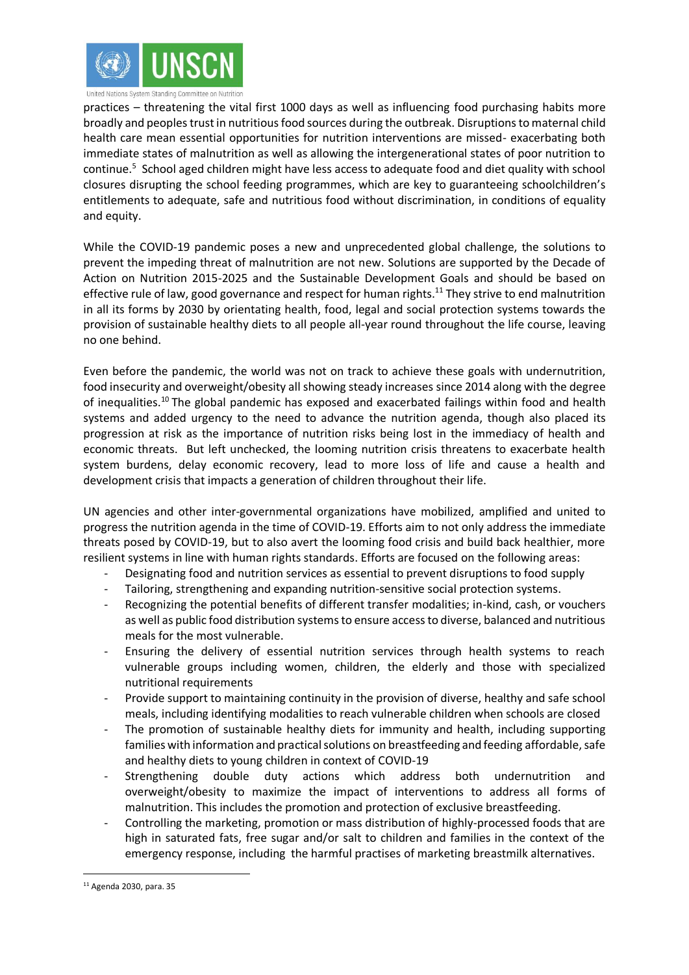

practices – threatening the vital first 1000 days as well as influencing food purchasing habits more broadly and peoples trust in nutritious food sources during the outbreak. Disruptions to maternal child health care mean essential opportunities for nutrition interventions are missed- exacerbating both immediate states of malnutrition as well as allowing the intergenerational states of poor nutrition to continue.<sup>5</sup> School aged children might have less access to adequate food and diet quality with school closures disrupting the school feeding programmes, which are key to guaranteeing schoolchildren's entitlements to adequate, safe and nutritious food without discrimination, in conditions of equality and equity.

While the COVID-19 pandemic poses a new and unprecedented global challenge, the solutions to prevent the impeding threat of malnutrition are not new. Solutions are supported by the Decade of Action on Nutrition 2015-2025 and the Sustainable Development Goals and should be based on effective rule of law, good governance and respect for human rights.<sup>11</sup> They strive to end malnutrition in all its forms by 2030 by orientating health, food, legal and social protection systems towards the provision of sustainable healthy diets to all people all-year round throughout the life course, leaving no one behind.

Even before the pandemic, the world was not on track to achieve these goals with undernutrition, food insecurity and overweight/obesity all showing steady increases since 2014 along with the degree of inequalities.<sup>10</sup> The global pandemic has exposed and exacerbated failings within food and health systems and added urgency to the need to advance the nutrition agenda, though also placed its progression at risk as the importance of nutrition risks being lost in the immediacy of health and economic threats. But left unchecked, the looming nutrition crisis threatens to exacerbate health system burdens, delay economic recovery, lead to more loss of life and cause a health and development crisis that impacts a generation of children throughout their life.

UN agencies and other inter-governmental organizations have mobilized, amplified and united to progress the nutrition agenda in the time of COVID-19. Efforts aim to not only address the immediate threats posed by COVID-19, but to also avert the looming food crisis and build back healthier, more resilient systems in line with human rights standards. Efforts are focused on the following areas:

- Designating food and nutrition services as essential to prevent disruptions to food supply
- Tailoring, strengthening and expanding nutrition-sensitive social protection systems.
- Recognizing the potential benefits of different transfer modalities; in-kind, cash, or vouchers as well as public food distribution systems to ensure access to diverse, balanced and nutritious meals for the most vulnerable.
- Ensuring the delivery of essential nutrition services through health systems to reach vulnerable groups including women, children, the elderly and those with specialized nutritional requirements
- Provide support to maintaining continuity in the provision of diverse, healthy and safe school meals, including identifying modalities to reach vulnerable children when schools are closed
- The promotion of sustainable healthy diets for immunity and health, including supporting families with information and practical solutions on breastfeeding and feeding affordable, safe and healthy diets to young children in context of COVID-19
- Strengthening double duty actions which address both undernutrition and overweight/obesity to maximize the impact of interventions to address all forms of malnutrition. This includes the promotion and protection of exclusive breastfeeding.
- Controlling the marketing, promotion or mass distribution of highly-processed foods that are high in saturated fats, free sugar and/or salt to children and families in the context of the emergency response, including the harmful practises of marketing breastmilk alternatives.

<sup>11</sup> Agenda 2030, para. 35